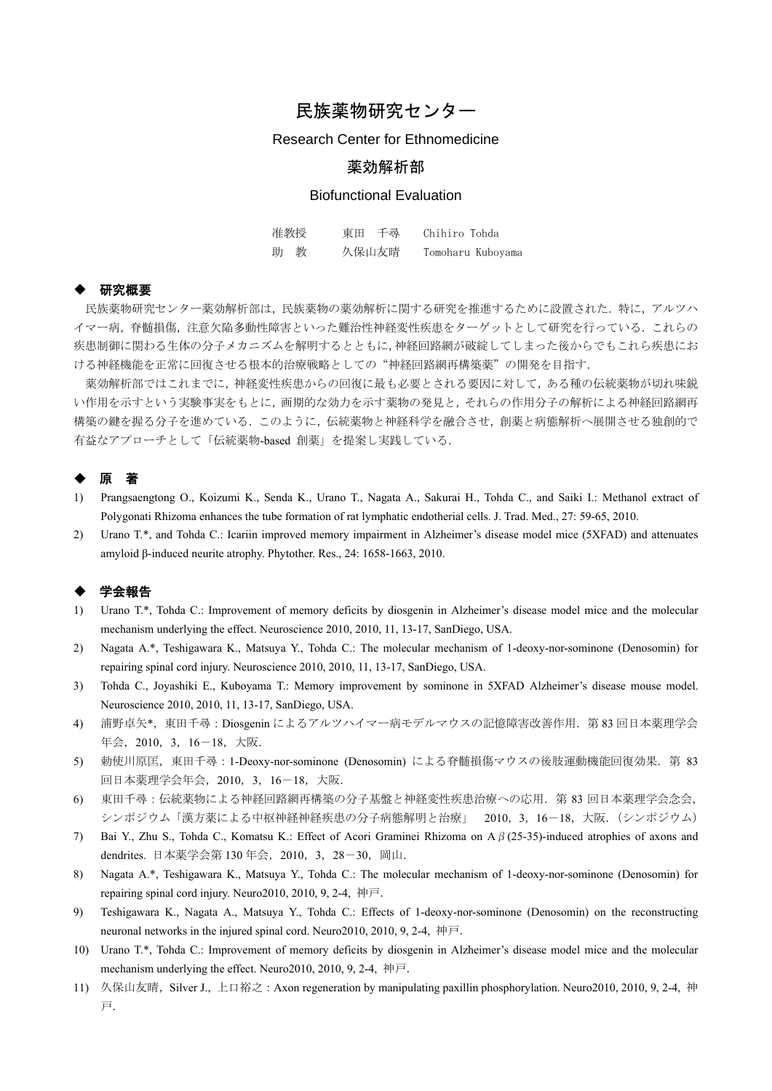# 民族薬物研究センター

### Research Center for Ethnomedicine

## 薬効解析部

## Biofunctional Evaluation

| 准教授 | 東田 千尋 | Chihiro Tohda     |
|-----|-------|-------------------|
| 助教  | 久保山友晴 | Tomoharu Kuboyama |

#### 研究概要

民族薬物研究センター薬効解析部は,民族薬物の薬効解析に関する研究を推進するために設置された.特に,アルツハ イマー病,脊髄損傷,注意欠陥多動性障害といった難治性神経変性疾患をターゲットとして研究を行っている.これらの 疾患制御に関わる生体の分子メカニズムを解明するとともに,神経回路網が破綻してしまった後からでもこれら疾患にお ける神経機能を正常に回復させる根本的治療戦略としての"神経回路網再構築薬"の開発を目指す.

薬効解析部ではこれまでに,神経変性疾患からの回復に最も必要とされる要因に対して,ある種の伝統薬物が切れ味鋭 い作用を示すという実験事実をもとに,画期的な効力を示す薬物の発見と,それらの作用分子の解析による神経回路網再 構築の鍵を握る分子を進めている.このように,伝統薬物と神経科学を融合させ,創薬と病態解析へ展開させる独創的で 有益なアプローチとして「伝統薬物-based 創薬」を提案し実践している.

# ◆ 原 著

- 1) Prangsaengtong O., Koizumi K., Senda K., Urano T., Nagata A., Sakurai H., Tohda C., and Saiki I.: Methanol extract of Polygonati Rhizoma enhances the tube formation of rat lymphatic endotherial cells. J. Trad. Med., 27: 59-65, 2010.
- 2) Urano T.\*, and Tohda C.: Icariin improved memory impairment in Alzheimer's disease model mice (5XFAD) and attenuates amyloid β-induced neurite atrophy. Phytother. Res., 24: 1658-1663, 2010.

#### ◆ 学会報告

- 1) Urano T.\*, Tohda C.: Improvement of memory deficits by diosgenin in Alzheimer's disease model mice and the molecular mechanism underlying the effect. Neuroscience 2010, 2010, 11, 13-17, SanDiego, USA.
- 2) Nagata A.\*, Teshigawara K., Matsuya Y., Tohda C.: The molecular mechanism of 1-deoxy-nor-sominone (Denosomin) for repairing spinal cord injury. Neuroscience 2010, 2010, 11, 13-17, SanDiego, USA.
- 3) Tohda C., Joyashiki E., Kuboyama T.: Memory improvement by sominone in 5XFAD Alzheimer's disease mouse model. Neuroscience 2010, 2010, 11, 13-17, SanDiego, USA.
- 4) 浦野卓矢\*,東田千尋:Diosgenin によるアルツハイマー病モデルマウスの記憶障害改善作用.第 83 回日本薬理学会 年会,2010,3,16-18,大阪.
- 5) 勅使川原匡, 東田千尋: 1-Deoxy-nor-sominone (Denosomin) による脊髄損傷マウスの後肢運動機能回復効果. 第 83 回日本薬理学会年会,2010,3,16-18,大阪.
- 6) 東田千尋:伝統薬物による神経回路網再構築の分子基盤と神経変性疾患治療への応用.第 83 回日本薬理学会念会, シンポジウム「漢方薬による中枢神経神経疾患の分子病態解明と治療」 2010, 3, 16-18, 大阪. (シンポジウム)
- 7) Bai Y., Zhu S., Tohda C., Komatsu K.: Effect of Acori Graminei Rhizoma on Aβ(25-35)-induced atrophies of axons and dendrites. 日本薬学会第 130 年会, 2010, 3, 28-30, 岡山.
- 8) Nagata A.\*, Teshigawara K., Matsuya Y., Tohda C.: The molecular mechanism of 1-deoxy-nor-sominone (Denosomin) for repairing spinal cord injury. Neuro2010, 2010, 9, 2-4, 神戸.
- 9) Teshigawara K., Nagata A., Matsuya Y., Tohda C.: Effects of 1-deoxy-nor-sominone (Denosomin) on the reconstructing neuronal networks in the injured spinal cord. Neuro2010, 2010, 9, 2-4, 神戸.
- 10) Urano T.\*, Tohda C.: Improvement of memory deficits by diosgenin in Alzheimer's disease model mice and the molecular mechanism underlying the effect. Neuro2010, 2010, 9, 2-4, 神戸.
- 11) 久保山友晴, Silver J., 上口裕之: Axon regeneration by manipulating paxillin phosphorylation. Neuro2010, 2010, 9, 2-4, 神 戸.